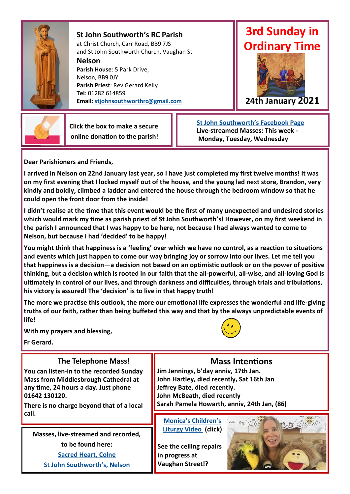

**St John Southworth's RC Parish** at Christ Church, Carr Road, BB9 7JS and St John Southworth Church, Vaughan St

**Nelson**

**Parish House**: 5 Park Drive, Nelson, BB9 0JY **Parish Priest**: Rev Gerard Kelly **Tel**: 01282 614859 **Email: [stjohnsouthworthrc@gmail.com](mailto:stjohnsouthworthrc@gmail.com)**

# **3rd Sunday in Ordinary Time**





 **Click the box to make a secure online donation to the parish!**  **[St John Southworth's Facebook Page](https://www.facebook.com/Parish-of-St-John-Southworth-in-Nelson-105718084323986) Live-streamed Masses: This week - Monday, Tuesday, Wednesday** 

**Dear Parishioners and Friends,**

**I arrived in Nelson on 22nd January last year, so I have just completed my first twelve months! It was on my first evening that I locked myself out of the house, and the young lad next store, Brandon, very kindly and boldly, climbed a ladder and entered the house through the bedroom window so that he could open the front door from the inside!**

**I didn't realise at the time that this event would be the first of many unexpected and undesired stories which would mark my time as parish priest of St John Southworth's! However, on my first weekend in the parish I announced that I was happy to be here, not because I had always wanted to come to Nelson, but because I had 'decided' to be happy!** 

**You might think that happiness is a 'feeling' over which we have no control, as a reaction to situations and events which just happen to come our way bringing joy or sorrow into our lives. Let me tell you that happiness is a decision—a decision not based on an optimistic outlook or on the power of positive thinking, but a decision which is rooted in our faith that the all-powerful, all-wise, and all-loving God is ultimately in control of our lives, and through darkness and difficulties, through trials and tribulations, his victory is assured! The 'decision' is to live in that happy truth!** 

**The more we practise this outlook, the more our emotional life expresses the wonderful and life-giving truths of our faith, rather than being buffeted this way and that by the always unpredictable events of life!**

**With my prayers and blessing,**

**Fr Gerard.**

### **The Telephone Mass!**

**You can listen-in to the recorded Sunday Mass from Middlesbrough Cathedral at any time, 24 hours a day. Just phone 01642 130120.** 

**There is no charge beyond that of a local call.**

**Masses, live-streamed and recorded, to be found here:** 

> **[Sacred Heart, Colne](https://www.churchservices.tv/colne)  [St John Southworth's, Nelson](https://www.facebook.com/Parish-of-St-John-Southworth-in-Nelson-105718084323986)**



## **Mass Intentions**

**Jim Jennings, b'day anniv, 17th Jan. John Hartley, died recently, Sat 16th Jan Jeffrey Bate, died recently. John McBeath, died recently Sarah Pamela Howarth, anniv, 24th Jan, (86)**

**[Monica's Children's](https://youtu.be/s_rVWtfXdRg)  [Liturgy Video \(](https://youtu.be/s_rVWtfXdRg)click)**

**See the ceiling repairs in progress at Vaughan Street!?**